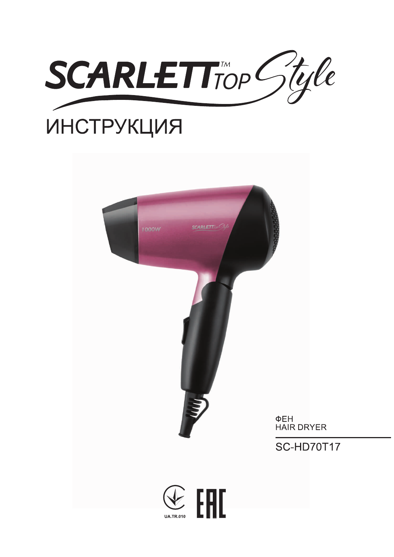

# **ИНСТРУКЦИЯ**

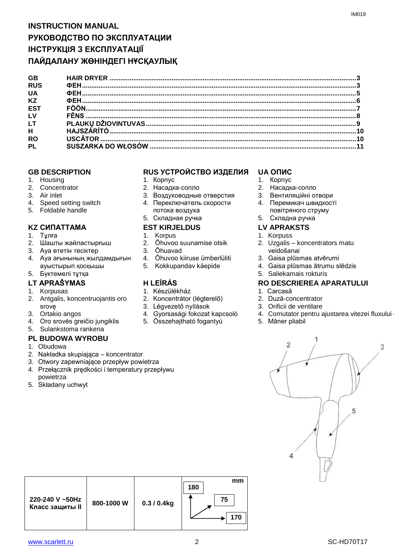# **INSTRUCTION MANUAL РУКОВОДСТВО ПО ЭКСПЛУАТАЦИИ ІНСТРУКЦІЯ З ЕКСПЛУАТАЦІЇ ПАЙДАЛАНУ ЖӨНІНДЕГІ НҰСҚАУЛЫҚ**

| <b>GB</b>       |  |
|-----------------|--|
| <b>RUS</b>      |  |
| <b>UA</b>       |  |
| <b>KZ</b>       |  |
| ES <sub>1</sub> |  |
| <b>LV</b>       |  |
| LT.             |  |
| H               |  |
| <b>RO</b>       |  |
| <b>PL</b>       |  |
|                 |  |

- 1. Housing
- 2. Concentrator
- 3. Air inlet
- 4. Speed setting switch
- 5. Foldable handle

### **KZ СИПАТТАМА EST KIRJELDUS LV APRAKSTS**

- 1. Тұлға
- 2. Шашты жайластырғыш
- 3. Ауа өтетін тесіктер
- 4. Ауа ағынының жылдамдығын ауыстырып қосқышы
- 5. Бүктемелі тұтқа

- 1. Korpusas
- 2. Antgalis, koncentruojantis oro srovę
- 3. Ortakio angos
- 4. Oro srovės greičio jungiklis
- 5. Sulankstoma rankena

### **PL BUDOWA WYROBU**

- 1. Obudowa
- 2. Nakładka skupiająca koncentrator
- 3. Otwory zapewniające przepływ powietrza
- 4. Przełącznik prędkości i temperatury przepływu powietrza
- 5. Składany uchwyt

### **GB DESCRIPTION RUS УСТРОЙСТВО ИЗДЕЛИЯ UA ОПИС**

- 1. Корпус
- 2. Насадка-сопло
- 3. Воздуховодные отверстия 4. Переключатель скорости
- потока воздуха
- 5. Складная ручка

- 1. Korpus
- 2. Õhuvoo suunamise otsik
- 3. Õhuavad
- 4. Õhuvoo kiiruse ümberlüliti
- 5. Kokkupandav käepide

- 1. Készülékház
- 2. Koncentrátor (légterelő)
- 3. Légvezető nyílások
- 4. Gyorsasági fokozat kapcsoló
- 5. Összehajtható fogantyú

- 1. Корпус
- 2. Насадка-сопло
- 3. Вентиляційні отвори
- 4. Перемикач швидкості повітряного струму
- 5. Складна ручка
- 
- 1. Korpuss
- 2. Uzgalis koncentrators matu veidošanai
- 3. Gaisa plūsmas atvērumi
- 4. Gaisa plūsmas ātrumu slēdzis
- 5. Saliekamais rokturis

# **LT APRAŠYMAS H LEÍRÁS RO DESCRIEREA APARATULUI**

- 1. Carcasă
- 2. Duză-concentrator
- 3. Orificii de ventilare
- 4. Comutator pentru ajustarea vitezei fluxului

3

5. Mâner pliabil

# 1  $\overline{2}$ 5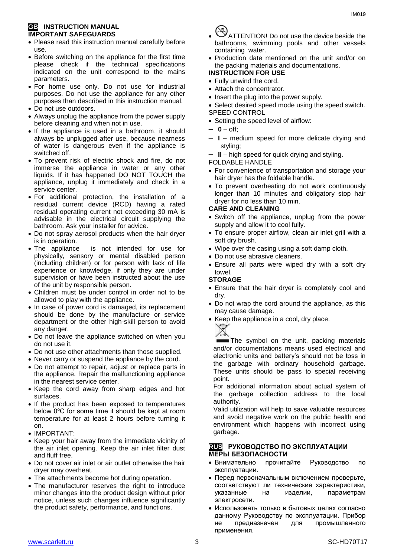### **GB INSTRUCTION MANUAL IMPORTANT SAFEGUARDS**

- Please read this instruction manual carefully before use.
- Before switching on the appliance for the first time please check if the technical specifications indicated on the unit correspond to the mains parameters.
- For home use only. Do not use for industrial purposes. Do not use the appliance for any other purposes than described in this instruction manual.
- Do not use outdoors.
- Always unplug the appliance from the power supply before cleaning and when not in use.
- If the appliance is used in a bathroom, it should always be unplugged after use, because nearness of water is dangerous even if the appliance is switched off.
- To prevent risk of electric shock and fire, do not immerse the appliance in water or any other liquids. If it has happened DO NOT TOUCH the appliance, unplug it immediately and check in a service center.
- For additional protection, the installation of a residual current device (RCD) having a rated residual operating current not exceeding 30 mA is advisable in the electrical circuit supplying the bathroom. Ask your installer for advice.
- Do not spray aerosol products when the hair dryer is in operation.
- The appliance is not intended for use for [physically, sensory or mental disabled](https://www.multitran.ru/c/m.exe?t=5841801_1_2&s1=%F7%E5%EB%EE%E2%E5%EA%20%F1%20%EE%E3%F0%E0%ED%E8%F7%E5%ED%ED%FB%EC%E8%20%E2%EE%E7%EC%EE%E6%ED%EE%F1%F2%FF%EC%E8) person (including children) or for person with lack of life experience or knowledge, if only they are under supervision or have been instructed about the use of the unit by responsible person.
- Children must be under control in order not to be allowed to play with the appliance.
- In case of power cord is damaged, its replacement should be done by the manufacture or service department or the other high-skill person to avoid any danger.
- Do not leave the appliance switched on when you do not use it.
- Do not use other attachments than those supplied.
- Never carry or suspend the appliance by the cord.
- Do not attempt to repair, adjust or replace parts in the appliance. Repair the malfunctioning appliance in the nearest service center.
- Keep the cord away from sharp edges and hot surfaces.
- If the product has been exposed to temperatures below 0ºC for some time it should be kept at room temperature for at least 2 hours before turning it on.
- IMPORTANT:
- Keep your hair away from the immediate vicinity of the air inlet opening. Keep the air inlet filter dust and fluff free.
- Do not cover air inlet or air outlet otherwise the hair dryer may overheat.
- The attachments become hot during operation.
- The manufacturer reserves the right to introduce minor changes into the product design without prior notice, unless such changes influence significantly the product safety, performance, and functions.

- ATTENTION! Do not use the device beside the bathrooms, swimming pools and other vessels containing water.
- Production date mentioned on the unit and/or on the packing materials and documentations.

# **INSTRUCTION FOR USE**

- Fully unwind the cord.
- Attach the concentrator.
- Insert the plug into the power supply.
- Select desired speed mode using the speed switch.
- SPEED CONTROL
- Setting the speed level of airflow:
- **0** off;
- **I** medium speed for more delicate drying and styling;
- **II** high speed for quick drying and styling.

FOLDABLE HANDLE

- For convenience of transportation and storage your hair dryer has the foldable handle.
- To prevent overheating do not work continuously longer than 10 minutes and obligatory stop hair dryer for no less than 10 min.

### **CARE AND CLEANING**

- Switch off the appliance, unplug from the power supply and allow it to cool fully.
- To ensure proper airflow, clean air inlet grill with a soft dry brush.
- Wipe over the casing using a soft damp cloth.
- Do not use abrasive cleaners.
- Ensure all parts were wiped dry with a soft dry towel.

### **STORAGE**

- Ensure that the hair dryer is completely cool and dry.
- Do not wrap the cord around the appliance, as this may cause damage.
- Keep the appliance in a cool, dry place.



The symbol on the unit, packing materials and/or documentations means used electrical and electronic units and battery's should not be toss in the garbage with ordinary household garbage. These units should be pass to special receiving point.

For additional information about actual system of the garbage collection address to the local authority.

Valid utilization will help to save valuable resources and avoid negative work on the public health and environment which happens with incorrect using garbage.

### **RUS РУКОВОДСТВО ПО ЭКСПЛУАТАЦИИ МЕРЫ БЕЗОПАСНОСТИ**

- Внимательно прочитайте Руководство по эксплуатации.
- Перед первоначальным включением проверьте, соответствуют ли технические характеристики, указанные на изделии, параметрам электросети.
- Использовать только в бытовых целях согласно данному Руководству по эксплуатации. Прибор не предназначен для промышленного применения.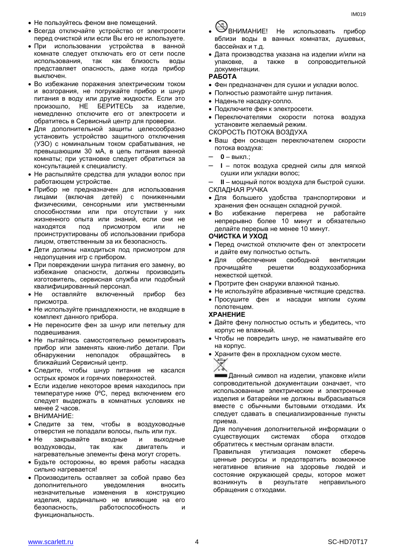- Не пользуйтесь феном вне помещений.
- Всегда отключайте устройство от электросети перед очисткой или если Вы его не используете.
- При использовании устройства в ванной комнате следует отключать его от сети после использования, так как близость воды представляет опасность, даже когда прибор выключен.
- Во избежание поражения электрическим током и возгорания, не погружайте прибор и шнур питания в воду или другие жидкости. Если это произошло, НЕ БЕРИТЕСЬ за изделие, немедленно отключите его от электросети и обратитесь в Сервисный центр для проверки.
- Для дополнительной защиты целесообразно установить устройство защитного отключения (УЗО) с номинальным током срабатывания, не превышающим 30 мА, в цепь питания ванной комнаты; при установке следует обратиться за консультацией к специалисту.
- Не распыляйте средства для укладки волос при работающем устройстве.
- Прибор не предназначен для использования лицами (включая детей) с пониженными физическими, сенсорными или умственными способностями или при отсутствии у них жизненного опыта или знаний, если они не находятся под присмотром или не проинструктированы об использовании прибора лицом, ответственным за их безопасность.
- Дети должны находиться под присмотром для недопущения игр с прибором.
- При повреждении шнура питания его замену, во избежание опасности, должны производить изготовитель, сервисная служба или подобный квалифицированный персонал.
- Не оставляйте включенный прибор без присмотра.
- Не используйте принадлежности, не входящие в комплект данного прибора.
- Не переносите фен за шнур или петельку для подвешивания.
- Не пытайтесь самостоятельно ремонтировать прибор или заменять какие-либо детали. При обнаружении неполадок обращайтесь в ближайший Сервисный центр.
- Следите, чтобы шнур питания не касался острых кромок и горячих поверхностей.
- Если изделие некоторое время находилось при температуре ниже 0ºC, перед включением его следует выдержать в комнатных условиях не менее 2 часов.
- ВНИМАНИЕ:
- Следите за тем, чтобы в воздуховодные отверстия не попадали волосы, пыль или пух.
- Не закрывайте входные и выходные воздуховоды, так как двигатель и нагревательные элементы фена могут сгореть.
- Будьте осторожны, во время работы насадка сильно нагревается!
- Производитель оставляет за собой право без дополнительного уведомления вносить незначительные изменения в конструкцию изделия, кардинально не влияющие на его безопасность, работоспособность и функциональность.
- 
- **ВНИМАНИЕ!** Не использовать прибор вблизи воды в ванных комнатах, душевых, бассейнах и т.д.
- Дата производства указана на изделии и/или на упаковке, а также в сопроводительной документации.

### **РАБОТА**

- Фен предназначен для сушки и укладки волос.
- Полностью размотайте шнур питания.
- Наденьте насадку-сопло.
- Подключите фен к электросети.
- Переключателями скорости потока воздуха установите желаемый режим.

СКОРОСТЬ ПОТОКА ВОЗДУХА

- Ваш фен оснащен переключателем скорости потока воздуха:
- **0** выкл.;
- **I** поток воздуха средней силы для мягкой сушки или укладки волос;

– **II** – мощный поток воздуха для быстрой сушки. СКЛАДНАЯ РУЧКА

- Для большего удобства транспортировки и хранения фен оснащен складной ручкой.
- Во избежание перегрева не работайте непрерывно более 10 минут и обязательно делайте перерыв не менее 10 минут.

### **ОЧИСТКА И УХОД**

- Перед очисткой отключите фен от электросети и дайте ему полностью остыть.
- Для обеспечения свободной вентиляции прочищайте решетки воздухозаборника нежесткой щеткой.
- Протрите фен снаружи влажной тканью.
- Не используйте абразивные чистящие средства.
- Просушите фен и насадки мягким сухим полотенцем.

### **ХРАНЕНИЕ**

- Дайте фену полностью остыть и убедитесь, что корпус не влажный.
- Чтобы не повредить шнур, не наматывайте его на корпус.
- Храните фен в прохладном сухом месте.



Данный символ на изделии, упаковке и/или сопроводительной документации означает, что использованные электрические и электронные изделия и батарейки не должны выбрасываться вместе с обычными бытовыми отходами. Их следует сдавать в специализированные пункты приема.

Для получения дополнительной информации о существующих системах сбора отходов обратитесь к местным органам власти.

Правильная утилизация поможет сберечь ценные ресурсы и предотвратить возможное негативное влияние на здоровье людей и состояние окружающей среды, которое может возникнуть в результате неправильного обращения с отходами.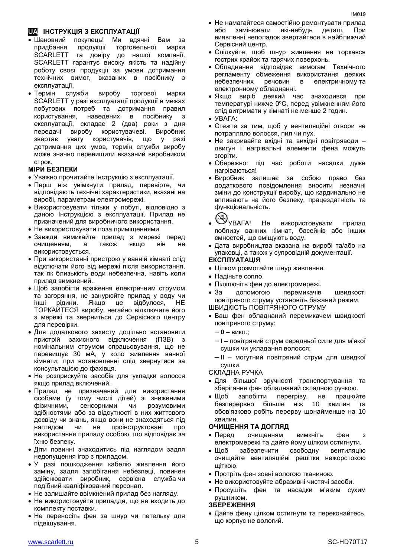# **UA ІНСТРУКЦІЯ З ЕКСПЛУАТАЦІЇ**

- Шановний покупець! Ми вдячні Вам за придбання продукції торговельної марки SCARLETT та довіру до нашої компанії. SCARLETT гарантує високу якість та надійну роботу своєї продукції за умови дотримання технічних вимог, вказаних в посібнику з експлуатації.
- Термін служби виробу торгової марки SCARLETT у разі експлуатації продукції в межах побутових потреб та дотримання правил користування, наведених в посібнику з експлуатації, складає 2 (два) роки з дня передачі виробу користувачеві. Виробник звертає увагу користувачів, що у разі дотримання цих умов, термін служби виробу може значно перевищити вказаний виробником строк.

### **МІРИ БЕЗПЕКИ**

- Уважно прочитайте Інструкцію з експлуатації.
- Перш ніж увімкнути прилад, перевірте, чи відповідають технічні характеристики, вказані на виробі, параметрам електромережі.
- Використовувати тільки у побуті, відповідно з даною Інструкцією з експлуатації. Прилад не призначений для виробничого використання.
- Не використовувати поза приміщеннями.
- Завжди вимикайте прилад з мережі перед очищенням, а також якщо він не використовується.
- При використанні пристрою у ванній кімнаті слід відключати його від мережі після використання, так як близькість води небезпечна, навіть коли прилад вимкнений.
- Щоб запобігти враження електричним струмом та загоряння, не занурюйте прилад у воду чи інші рідини. Якщо це відбулося, НЕ ТОРКАЙТЕСЯ виробу, негайно відключите його з мережі та зверниться до Сервісного центру для перевірки.
- Для додаткового захисту доцільно встановити пристрій захисного відключення (ПЗВ) з номінальним струмом спрацьовування, що не перевищує 30 мА, у коло живлення ванної кімнати; при встановленні слід звернутися за консультацією до фахівця.
- Не розприскуйте засобів для укладки волосся якщо прилад включений.
- Прилад не призначений для використання особами (у тому числі дітей) зі зниженими фізичними, сенсорними чи розумовими здібностями або за відсутності в них життєвого досвіду чи знань, якщо вони не знаходяться під наглядом чи не проінструктовані про використання приладу особою, що відповідає за їхню безпеку.
- Діти повинні знаходитись під наглядом задля недопущення ігор з приладом.
- У разі пошкодження кабелю живлення його заміну, задля запобігання небезпеці, повинен здійснювати виробник, сервісна служба чи подібний кваліфікований персонал.
- Не залишайте ввімкнений прилад без нагляду.
- Не використовуйте приладдя, що не входить до комплекту поставки.
- Не переносіть фен за шнур чи петельку для підвішування.
- Не намагайтеся самостійно ремонтувати прилад або замінювати які-небудь деталі. При виявленні неполадок звертайтеся в найближчий Сервісний центр.
- Слідкуйте, щоб шнур живлення не торкався гострих крайок та гарячих поверхонь.
- Обладнання відповідає вимогам Технічного регламенту обмеження використання деяких небезпечних речовин в електричному та електронному обладнанні.
- Якщо виріб деякий час знаходився при температурі нижче 0ºC, перед увімкненням його слід витримати у кімнаті не менше 2 годин.
- УВАГА:
- Стежте за тим, щоб у вентиляційні отвори не потрапляло волосся, пил чи пух.
- Не закривайте вхідні та вихідні повітряводи двигун і нагрівальні елементи фена можуть згоріти.
- Обережно: пiд час роботи насадки дуже нагріваються!
- Виробник залишає за собою право без додаткового повідомлення вносити незначні зміни до конструкції виробу, що кардинально не впливають на його безпеку, працездатність та функціональність.

- УВАГА! Не використовувати прилад поблизу ванних кімнат, басейнів або інших ємностей, що вміщують воду.
- Дата виробництва вказана на виробі та/або на упаковці, а також у супровідній документації.

# **ЕКСПЛУАТАЦІЯ**

- Цілком розмотайте шнур живлення.
- Надіньте сопло.
- Підключіть фен до електромережі.
- За допомогою перемикачів швидкості повітряного струму установіть бажаний режим.
- ШВИДКІСТЬ ПОВІТРЯНОГО СТРУМУ
- Ваш фен обладнаний перемикачем швидкості повітряного струму:
	- **0** викл.;
	- **I** повітряний струм середньої сили для м'якої сушки чи укладання волосся;
	- **II** могутний повітряний струм для швидкої сушки.

СКЛАДНА РУЧКА

- Для більшої зручності транспортування та зберігання фен обладнаний складною ручкою.
- Щоб запобігти перегріву, не працюйте безперервно більше ніж 10 хвилин та обов'язково робіть перерву щонайменше на 10 хвилин.

### **ОЧИЩЕННЯ ТА ДОГЛЯД**

- Перед очищенням вимкніть фен з електромережі та дайте йому цілком остигнути.
- Щоб забезпечити свободну вентиляцію очищайте вентиляційні решітки нежорстокою щіткою.
- Протріть фен зовні вологою тканиною.
- Не використовуйте абразивні чистячі засоби.
- Просушіть фен та насадки м'яким сухим рушником.

### **ЗБЕРЕЖЕННЯ**

 Дайте фену цілком остигнути та переконайтесь, що корпус не вологий.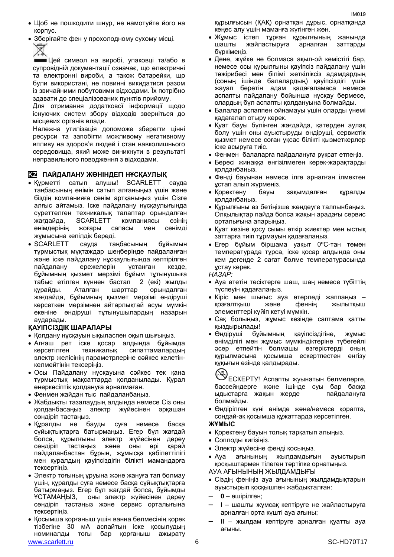- Щоб не пошкодити шнур, не намотуйте його на корпус.
- Зберігайте фен у прохолодному сухому місці. Ź

Цей символ на виробі, упаковці та/або в супровідній документації означає, що електричні та електронні вироби, а також батарейки, що були використані, не повинні викидатися разом із звичайними побутовими відходами. Їх потрібно здавати до спеціалізованих пунктів прийому.

Для отримання додаткової інформації щодо існуючих систем збору відходів зверніться до місцевих органів влади.

Належна утилізація допоможе зберегти цінні ресурси та запобігти можливому негативному впливу на здоров'я людей і стан навколишнього середовища, який може виникнути в результаті неправильного поводження з відходами.

### **KZ ПАЙДАЛАНУ ЖӨНІНДЕГІ НҰСҚАУЛЫҚ**

- Құрметті сатып алушы! SCARLETT сауда таңбасының өнімін сатып алғаныңыз үшін және біздің компанияға сенім артқаныңыз үшін Сізге алғыс айтамыз. Іске пайдалану нұсқаулығында суреттелген техникалық талаптар орындалған жағдайда, SCARLETT компаниясы өзінің өнімдерінің жоғары сапасы мен сенімді жұмысына кепілдік береді.
- SCARLETT сауда таңбасының бұйымын тұрмыстық мұқтаждар шеңберінде пайдаланған және іске пайдалану нұсқаулығында келтірілген пайдалану ережелерін ұстанған кезде, бұйымның қызмет мерзімі бұйым тұтынушыға табыс етілген күннен бастап 2 (екі) жылды құрайды. Аталған шарттар орындалған жағдайда, бұйымның қызмет мерзімі өндіруші көрсеткен мерзімнен айтарлықтай асуы мүмкін екеніне өндіруші тұтынушылардың назарын аударады.

### **ҚАУІПСІЗДІК ШАРАЛАРЫ**

- Қолдану нұсқауын ықыласпен оқып шығыңыз.
- Алғаш рет іске қосар алдында бұйымда көрсетілген техникалық сипаттамалардың электр желісінің параметрлеріне сәйкес келетінкелмейтінін тексеріңіз.
- Осы Пайдалану нұсқауына сәйкес тек қана тұрмыстық мақсаттарда қолданылады. Құрал өнеркәсіптік қолдануға арналмаған.
- Фенмен жайдан тыс пайдаланбаңыз.
- Жабдықты тазалаудың алдында немесе Сіз оны қолданбасаңыз электр жүйесінен әрқашан сөндіріп тастаңыз.
- Құралды не бауды суға немесе басқа сұйықтықтарға батырмаңыз. Егер бұл жағдай болса, құрылғыны электр жүйесінен дереу сөндіріп тастаңыз және оны әрі қарай пайдаланбастан бұрын, жұмысқа қабілеттілігі мен құралдың қауіпсіздігін білікті мамандарға тексертіңіз.
- Электр тоғының ұруына және жануға тап болмау үшін, құралды суға немесе басқа сұйықтықтарға батырмаңыз. Егер бұл жағдай болса, бұйымды ҰСТАМАҢЫЗ, оны электр жүйесінен дереу сөндіріп тастаңыз және сервис орталығына тексертіңіз.
- www.scarlett.ru 6 SC-HD70T17 Қосымша қорғаныш үшін ванна бөлмесінің қорек тізбегіне 30 мА аспайтын іске қосылудың номиналды тогы бар қорғаныш ажырату

құрылғысын (ҚАҚ) орнатқан дұрыс, орнатқанда кеңес алу үшін маманға жүгінген жөн.

IM019

- Жұмыс істеп тұрған құрылғының жанында шашты жайластыруға арналған заттарды бүркімеңіз.
- Дене, жүйке не болмаса ақыл-ой кемістігі бар, немесе осы құрылғыны қауіпсіз пайдалану үшін тәжірибесі мен білімі жеткіліксіз адамдардың (соның ішінде балалардың) қауіпсіздігі үшін жауап беретін адам қадағаламаса немесе аспапты пайдалану бойынша нұсқау бермесе, олардың бұл аспапты қолдануына болмайды.
- Балалар аспаппен ойнамауы үшін оларды үнемі қадағалап отыру керек.
- Қуат бауы бүлінген жағдайда, қатерден аулақ болу үшін оны ауыстыруды өндіруші, сервистік қызмет немесе соған ұқсас білікті қызметкерлер іске асыруға тиіс.
- Фенмен балаларға пайдалануға рұқсат етпеңіз.
- Бересі жинаққа енгізілмеген керек-жарақтарды қолданбаңыз.
- Фенді бауынан немесе ілге арналған ілмектен ұстап алып жүрмеңіз.
- Қоректену бауы зақымдалған құралды қолданбаңыз.
- Құрылғыны өз бетіңізше жөндеуге талпынбаңыз. Олқылықтар пайда болса жақын арадағы сервис орталығына апарыңыз.
- Қуат көзіне қосу сымы өткір жиектер мен ыстық заттарға тиіп тұрмауын қадағалаңыз.
- Егер бұйым біршама уақыт 0ºC-тан төмен температурада тұрса, іске қосар алдында оны кем дегенде 2 сағат бөлме температурасында ұстау керек.

### *НАЗАР:*

- Ауа өтетін тесіктерге шаш, шаң немесе түбіттің түспеуін қадағалаңыз.
- Кіріс мен шығыс ауа өтерледі жаппаңыз қозғалтқыш және феннің жылытқыш элементтері күйіп кетуі мүмкін.
- Сақ болыңыз, жұмыс кезінде саптама қатты қыздырылады!
- Өндіруші бұйымның қауіпсіздігіне, жұмыс өнімділігі мен жұмыс мүмкіндіктеріне түбегейлі әсер етпейтін болмашы өзгерістерді оның құрылмасына қосымша ескертпестен енгізу құқығын өзінде қалдырады.

ЕСКЕРТУ! Аспапты жуынатын бөлмелерге, бассейндерге және ішінде суы бар басқа ыдыстарға жақын жерде пайдалануға болмайды.

 Өндірілген күні өнімде және/немесе қорапта, сондай-ақ қосымша құжаттарда көрсетілген.

### **ЖҰМЫС**

- Қоректену бауын толық тарқатып алыңыз.
- Соплоды кигізіңіз.
- Электр жүйесіне фенді қосыңыз.
- Ауа ағынының жылдамдығын ауыстырып қосқыштармен тілеген тәртіпке орнатыңыз.
- АУА АҒЫНЫНЫҢ ЖЫЛДАМДЫҒЫ
- Сіздің феніңіз ауа ағынының жылдамдықтарын ауыстырып қосқышпен жабдықталған:
- **0** өшірілген;
- **I** шашты жұмсақ кептіруге не жайластыруға арналған орта күшті ауа ағыны;
- **II** жылдам кептіруге арналған қуатты ауа ағыны.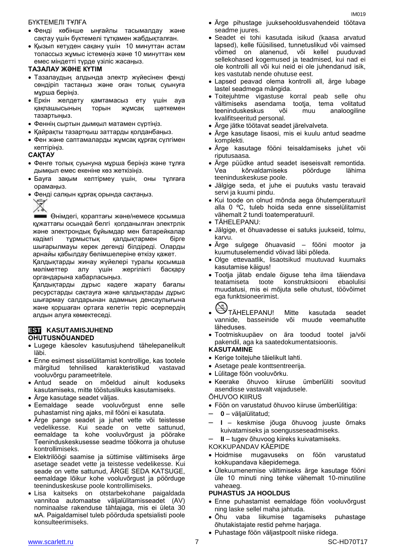### БҮКТЕМЕЛІ ТҰЛҒА

- Фенді көбінше ыңғайлы тасымалдау және сақтау үшін бүктемелі тұтқамен жабдықталған.
- Қызып кетуден сақану үшін 10 минуттан астам толассыз жұмыс істемеңіз және 10 минуттан кем емес міндетті түрде үзіліс жасаңыз.

### **ТАЗАЛАУ ЖӘНЕ КҮТІМ**

- Тазалаудың алдында электр жүйесінен фенді сөндіріп тастаңыз және оған толық суынуға мұрша беріңіз.
- Еркін желдету қамтамасыз ету үшін ауа қақпашысының торын жұмсақ щөткемен тазартыңыз.
- Феннің сыртын дымқыл матамен сүртіңіз.
- Қайрақты тазартқыш заттарды қолданбаңыз.
- Фен және саптамаларды жұмсақ құрғақ сүлгімен кептіріңіз.

### **САҚТАУ**

- Фенге толық суынуна мұрша беріңіз және тұлға дымқыл емес екеніне көз жеткізіңіз.
- Бауға зақым келтірмеу үшін, оны тұлғаға орамаңыз.
- Фенді салқын құрғақ орында сақтаңыз.



Өнімдегі, қораптағы және/немесе қосымша құжаттағы осындай белгі қолданылған электрлік және электрондық бұйымдар мен батарейкалар кәдімгі тұрмыстық қалдықтармен бірге шығарылмауы керек дегенді білдіреді. Оларды арнайы қабылдау бөлімшелеріне өткізу қажет.

Қалдықтарды жинау жүйелері туралы қосымша мәліметтер алу үшін жергілікті басқару органдарына хабарласыңыз.

Қалдықтарды дұрыс кәдеге жарату бағалы ресурстарды сақтауға және қалдықтарды дұрыс шығармау салдарынан адамның денсаулығына және қоршаған ортаға келетін теріс әсерлердің алдын алуға көмектеседі.

### **EST KASUTAMISJUHEND OHUTUSNÕUANDED**

- Lugege käesolev kasutusjuhend tähelepanelikult läbi.
- Enne esimest sisselülitamist kontrollige, kas tootele märgitud tehnilised karakteristikud vastavad vooluvõrgu parameetritele.
- Antud seade on mõeldud ainult koduseks kasutamiseks, mitte tööstuslikuks kasutamiseks.
- Ärge kasutage seadet väljas.
- Eemaldage seade vooluvõrgust enne selle puhastamist ning ajaks, mil fööni ei kasutata.
- Ärge pange seadet ja juhet vette või teistesse vedelikesse. Kui seade on vette sattunud, eemaldage ta kohe vooluvõrgust ja pöörake Teeninduskeskusesse seadme töökorra ja ohutuse kontrollimiseks.
- Elektrilöögi saamise ja süttimise vältimiseks ärge asetage seadet vette ja teistesse vedelikesse. Kui seade on vette sattunud, ÄRGE SEDA KATSUGE, eemaldage lõikur kohe vooluvõrgust ja pöörduge teeninduskeskuse poole kontrollimiseks.
- Lisa kaitseks on otstarbekohane paigaldada vannitoa automaatse väljalülitamisseadet (AV) nominaalse rakenduse tähtajaga, mis ei ületa 30 мА. Paigaldamisel tuleb pöörduda spetsialisti poole konsulteerimiseks.
- Ärge pihustage juuksehooldusvahendeid töötava seadme juures.
- Seadet ei tohi kasutada isikud (kaasa arvatud lapsed), kelle füüsilised, tunnetuslikud või vaimsed võimed on alanenud, või kellel puuduvad sellekohased kogemused ja teadmised, kui nad ei ole kontrolli all või kui neid ei ole juhendanud isik, kes vastutab nende ohutuse eest.
- Lapsed peavad olema kontrolli all, ärge lubage lastel seadmega mängida.
- Toitejuhtme vigastuse korral peab selle ohu vältimiseks asendama tootja, tema volitatud teeninduskeskus või muu analoogiline kvalifitseeritud personal.
- Ärge jätke töötavat seadet järelvalveta.
- Ärge kasutage lisaosi, mis ei kuulu antud seadme komplekti.
- Ärge kasutage fööni teisaldamiseks juhet või riputusaasa.
- Ärge püüdke antud seadet iseseisvalt remontida. Vea kõrvaldamiseks pöörduge lähima teeninduskeskuse poole.
- Jälgige seda, et juhe ei puutuks vastu teravaid servi ja kuumi pindu.
- Kui toode on olnud mõnda aega õhutemperatuuril alla 0 ºC, tuleb hoida seda enne sisselülitamist vähemalt 2 tundi toatemperatuuril.
- TÄHELEPANU:
- Jälgige, et õhuavadesse ei satuks juukseid, tolmu, karvu.
- Ärge sulgege õhuavasid fööni mootor ja kuumutuselemendid võivad läbi põleda.
- Olge ettevaatlik, lisaotsikud muutuvad kuumaks kasutamise käigus!
- Tootja jätab endale õiguse teha ilma täiendava teatamiseta toote konstruktsiooni ebaolulisi muudatusi, mis ei mõjuta selle ohutust, töövõimet ega funktsioneerimist.
- TÄHELEPANU! Mitte kasutada seadet vannide, basseinide või muude veemahutite läheduses.
- Tootmiskuupäev on ära toodud tootel ja/või pakendil, aga ka saatedokumentatsioonis.

### **KASUTAMINE**

- Kerige toitejuhe täielikult lahti.
- Asetage peale konttsentreerija.
- Lülitage föön vooluvõrku.
- Keerake õhuvoo kiiruse ümberlüliti soovitud asendisse vastavalt vajadusele.

ÕHUVOO KIIRUS

- Föön on varustatud õhuvoo kiiruse ümberlülitiga:
- **0** väljalülitatud;
- **I**  keskmise jõuga õhuvoog juuste õrnaks kuivatamiseks ja soengusseseadmiseks.

– **II** – tugev õhuvoog kiireks kuivatamiseks.

KOKKUPANDAV KÄEPIDE

- Hoidmise mugavuseks on föön varustatud kokkupandava käepidemega.
- Ülekuumenemise vältimiseks ärge kasutage fööni üle 10 minuti ning tehke vähemalt 10-minutiline vaheaeg.

### **PUHASTUS JA HOOLDUS**

- Enne puhastamist eemaldage föön vooluvõrgust ning laske sellel maha jahtuda.
- Õhu vaba liikumise tagamiseks puhastage õhutakistajate restid pehme harjaga.
- Puhastage föön väljastpoolt niiske riidega.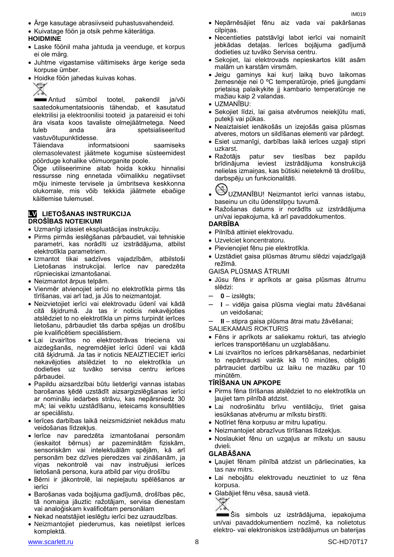- Ärge kasutage abrasiivseid puhastusvahendeid.
- Kuivatage föön ja otsik pehme käterätiga.

# **HOIDMINE**

- Laske föönil maha jahtuda ja veenduge, et korpus ei ole märg.
- Juhtme vigastamise vältimiseks ärge kerige seda korpuse ümber.
- Hoidke föön jahedas kuivas kohas.

Antud sümbol tootel, pakendil ja/või saatedokumentatsioonis tähendab, et kasutatud elektrilisi ja elektroonilisi tooteid ja patareisid ei tohi ära visata koos tavaliste olmejäätmetega. Need tuleb anda ära spetsialiseeritud vastuvõtupunktidesse.

Täiendava informatsiooni saamiseks olemasolevatest jäätmete kogumise süsteemidest pöörduge kohalike võimuorganite poole.

Õige utiliseerimine aitab hoida kokku hinnalisi ressursse ning ennetada võimalikku negatiivset mõju inimeste tervisele ja ümbritseva keskkonna olukorrale, mis võib tekkida jäätmete ebaõige käitlemise tulemusel.

### **LV LIETOŠANAS INSTRUKCIJA DROŠĪBAS NOTEIKUMI**

- Uzmanīgi izlasiet ekspluatācijas instrukciju.
- Pirms pirmās ieslēgšanas pārbaudiet, vai tehniskie parametri, kas norādīti uz izstrādājuma, atbilst elektrotīkla parametriem.
- Izmantot tikai sadzīves vajadzībām, atbilstoši Lietošanas instrukcijai. Ierīce nav paredzēta rūpnieciskai izmantošanai.
- Neizmantot ārpus telpām.
- Vienmēr atvienojiet ierīci no elektrotīkla pirms tās tīrīšanas, vai arī tad, ja Jūs to neizmantojat.
- Neizvietojiet ierīci vai elektrovadu ūdenī vai kādā citā šķidrumā. Ja tas ir noticis nekavējoties atslēdziet to no elektrotīkla un pirms turpināt ierīces lietošanu, pārbaudiet tās darba spējas un drošību pie kvalificētiem speciālistiem.
- Lai izvairītos no elektrostrāvas trieciena vai aizdegšanās, negremdējiet ierīci ūdenī vai kādā citā šķidrumā. Ja tas ir noticis NEAIZTIECIET ierīci nekavējoties atslēdziet to no elektrotīkla un dodieties uz tuvāko servisa centru ierīces pārbaudei.
- Papildu aizsardzībai būtu lietderīgi vannas istabas barošanas ķēdē uzstādīt aizsargizslēgšanas ierīci ar nominālu iedarbes strāvu, kas nepārsniedz 30 mА; lai veiktu uzstādīšanu, ieteicams konsultēties ar speciālistu.
- Ierīces darbības laikā neizsmidziniet nekādus matu veidošanas līdzekļus.
- Ierīce nav paredzēta izmantošanai personām (ieskaitot bērnus) ar pazeminātām fiziskām, sensoriskām vai intelektuālām spējām, kā arī personām bez dzīves pieredzes vai zināšanām, ja viņas nekontrolē vai nav instruējusi ierīces lietošanā persona, kura atbild par viņu drošību
- Bērni ir jākontrolē, lai nepieļautu spēlēšanos ar ierīci
- Barošanas vada bojājuma gadījumā, drošības pēc, tā nomaiņa jāuztic ražotājam, servisa dienestam vai analoģiskam kvalificētam personālam
- Nekad neatstājiet ieslēgtu ierīci bez uzraudzības.
- Neizmantojiet piederumus, kas neietilpst ierīces komplektā.
- Nepārnēsājiet fēnu aiz vada vai pakāršanas cilpiņas.
- Necentieties patstāvīgi labot ierīci vai nomainīt jebkādas detaļas. Ierīces bojājuma gadījumā dodieties uz tuvāko Servisa centru.
- Sekojiet, lai elektrovads nepieskartos klāt asām malām un karstām virsmām.
- Jeigu gaminys kai kurį laiką buvo laikomas žemesnėje nei 0 ºC temperatūroje, prieš įjungdami prietaisą palaikykite jį kambario temperatūroje ne mažiau kaip 2 valandas.
- UZMANĪBU:
- Sekojiet līdzi, lai gaisa atvērumos neiekļūtu mati, putekļi vai pūkas.
- Neaiztaisiet ienākošās un izejošās gaisa plūsmas atveres, motors un sildīšanas elementi var pārdegt.
- Esiet uzmanīgi, darbības laikā ierīces uzgaļi stipri uzkarst.
- Ražotājs patur sev tiesības bez papildu brīdinājuma ieviest izstrādājuma konstrukcijā nelielas izmaiņas, kas būtiski neietekmē tā drošību, darbspēju un funkcionalitāti.

- UZMANĪBU! Neizmantot ierīci vannas istabu, baseinu un citu ūdenstilpņu tuvumā.
- Ražošanas datums ir norādīts uz izstrādājuma un/vai iepakojuma, kā arī pavaddokumentos.

### **DARBĪBA**

- Pilnībā attiniet elektrovadu.
- Uzvelciet koncentratoru.
- Pievienojiet fēnu pie elektrotīkla.
- Uzstādiet gaisa plūsmas ātrumu slēdzi vajadzīgajā režīmā.

### GAISA PLŪSMAS ĀTRUMI

- Jūsu fēns ir aprīkots ar gaisa plūsmas ātrumu slēdzi:
- **0** izslēgts;
- **I** vidēja gaisa plūsma vieglai matu žāvēšanai un veidošanai;
	- **II** stipra gaisa plūsma ātrai matu žāvēšanai;
- SALIEKAMAIS ROKTURIS
- Fēns ir aprīkots ar saliekamu rokturi, tas atvieglo ierīces transportēšanu un uzglabāšanu.
- Lai izvairītos no ierīces pārkarsēšanas, nedarbiniet to nepārtraukti vairāk kā 10 minūtes, obligāti pārtrauciet darbību uz laiku ne mazāku par 10 minūtēm.

### **TĪRĪŠANA UN APKOPE**

- Pirms fēna tīrīšanas atslēdziet to no elektrotīkla un ļaujiet tam pilnībā atdzist.
- Lai nodrošinātu brīvu ventilāciju, tīriet gaisa iesūkšanas atvērumu ar mīkstu birstīti.
- Notīriet fēna korpusu ar mitru lupatiņu.
- Neizmantojiet abrazīvus tīrīšanas līdzekļus.
- Noslaukiet fēnu un uzgaļus ar mīkstu un sausu dvieli.

### **GLABĀŠANA**

- Ļaujiet fēnam pilnībā atdzist un pārliecinaties, ka tas nav mitrs.
- Lai nebojātu elektrovadu neuztiniet to uz fēna korpusa.
- Glabājiet fēnu vēsa, sausā vietā.



Šis simbols uz izstrādājuma, iepakojuma un/vai pavaddokumentiem nozīmē, ka nolietotus elektro- vai elektroniskos izstrādājumus un baterijas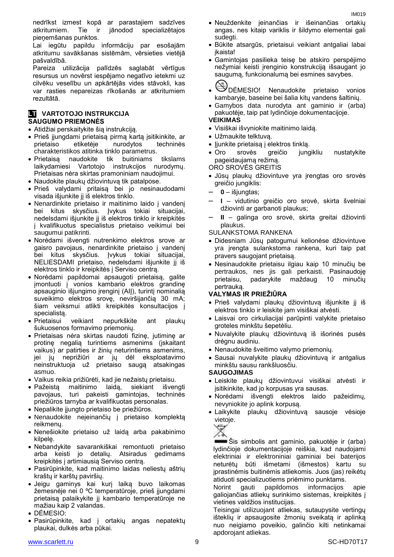nedrīkst izmest kopā ar parastajiem sadzīves atkritumiem. Tie ir jānodod specializētajos pieņemšanas punktos.

Lai iegūtu papildu informāciju par esošajām atkritumu savākšanas sistēmām, vērsieties vietējā pašvaldībā.

Pareiza utilizācija palīdzēs saglabāt vērtīgus resursus un novērst iespējamo negatīvo ietekmi uz cilvēku veselību un apkārtējās vides stāvokli, kas var rasties nepareizas rīkošanās ar atkritumiem rezultātā.

### **LT** VARTOTOJO INSTRUKCIJA **SAUGUMO PRIEMONĖS**

- Atidžiai perskaitykite šią instrukciją.
- Prieš įjungdami prietaisą pirmą kartą įsitikinkite, ar prietaiso etiketėje nurodytos techninės charakteristikos atitinka tinklo parametrus.
- Prietaisą naudokite tik buitiniams tikslams laikydamiesi Vartotojo instrukcijos nurodymų. Prietaisas nėra skirtas pramoniniam naudojimui.
- Naudokite plaukų džiovintuvą tik patalpose.
- Prieš valydami pritaisą bei jo nesinaudodami visada išjunkite jį iš elektros tinklo.
- Nenardinkite prietaiso ir maitinimo laido į vandenį bei kitus skysčius. Įvykus tokiai situacijai, nedelsdami išjunkite jį iš elektros tinklo ir kreipkitės į kvalifikuotus specialistus prietaiso veikimui bei saugumui patikrinti.
- Norėdami išvengti nutrenkimo elektros srove ar gaisro pavojaus, nenardinkite prietaiso į vandenį bei kitus skysčius. Įvykus tokiai situacijai, NELIESDAMI prietaiso, nedelsdami išjunkite jį iš elektros tinklo ir kreipkitės į Serviso centrą.
- Norėdami papildomai apsaugoti prietaisą, galite įmontuoti į vonios kambario elektros grandinę apsauginio išjungimo įrenginį (AIĮ), turintį nominalią suveikimo elektros srovę, neviršijančią 30 mA; šiam veiksmui atlikti kreipkitės konsultacijos į specialistą.
- Prietaisui veikiant nepurkškite ant plaukų šukuosenos formavimo priemonių.
- Prietaisas nėra skirtas naudoti fizinę, jutiminę ar protinę negalią turintiems asmenims (įskaitant vaikus) ar patirties ir žinių neturintiems asmenims, jei jų neprižiūri ar jų dėl eksploatavimo neinstruktuoja už prietaiso saugą atsakingas asmuo.
- Vaikus reikia prižiūrėti, kad jie nežaistų prietaisu.
- Pažeistą maitinimo laidą, siekiant išvengti pavojaus, turi pakeisti gamintojas, techninės priežiūros tarnyba ar kvalifikuotas personalas.
- Nepalikite įjungto prietaiso be priežiūros.
- Nenaudokite neįeinančių į prietaiso komplektą reikmenų.
- Nenešiokite prietaiso už laidą arba pakabinimo kilpelę.
- Nebandykite savarankiškai remontuoti prietaiso arba keisti jo detalių. Atsiradus gedimams kreipkitės į artimiausią Serviso centrą.
- Pasirūpinkite, kad maitinimo laidas neliestų aštrių kraštų ir karštų paviršių.
- Jeigu gaminys kai kurį laiką buvo laikomas žemesnėje nei 0 ºC temperatūroje, prieš įjungdami prietaisą palaikykite jį kambario temperatūroje ne mažiau kaip 2 valandas.
- DĖMESIO:
- Pasirūpinkite, kad į ortakių angas nepatektų plaukai, dulkės arba pūkai.
- Neuždenkite įeinančias ir išeinančias ortakių angas, nes kitaip variklis ir šildymo elementai gali sudegti.
- Būkite atsargūs, prietaisui veikiant antgaliai labai įkaista!
- Gamintojas pasilieka teisę be atskiro perspėjimo nežymiai keisti įrenginio konstrukciją išsaugant jo saugumą, funkcionalumą bei esmines savybes.
- DĖMESIO! Nenaudokite prietaiso vonios kambaryje, baseine bei šalia kitų vandens šaltinių.
- Gamybos data nurodyta ant gaminio ir (arba) pakuotėje, taip pat lydinčioje dokumentacijoje.

### **VEIKIMAS**

- Visiškai išvyniokite maitinimo laidą.
- Užmaukite telktuvą.
- Jjunkite prietaisą į elektros tinklą.
- Oro srovės greičio jungikliu nustatykite pageidaujamą režimą.

ORO SROVĖS GREITIS

- Jūsų plaukų džiovintuve yra įrengtas oro srovės greičio jungiklis:
- **0** išjungtas;
- **I** vidutinio greičio oro srovė, skirta švelniai džiovinti ar garbanoti plaukus;
- **II** galinga oro srovė, skirta greitai džiovinti plaukus.
- SULANKSTOMA RANKENA
- Didesniam Jūsų patogumui kelionėse džiovintuve yra įrengta sulankstoma rankena, kuri taip pat pravers saugojant prietaisą.
- Nesinaudokite prietaisu ilgiau kaip 10 minučių be pertraukos, nes jis gali perkaisti. Pasinaudoję prietaisu, padarykite maždaug 10 minučių pertrauką.

### **VALYMAS IR PRIEŽIŪRA**

- Prieš valydami plaukų džiovintuvą išjunkite jį iš elektros tinklo ir leiskite jam visiškai atvėsti.
- Laisvai oro cirkuliacijai parūpinti valykite prietaiso groteles minkštu šepetėliu.
- Nuvalykite plaukų džiovintuvą iš išorinės pusės drėgnu audiniu.
- Nenaudokite šveitimo valymo priemonių.
- Sausai nuvalykite plaukų džiovintuvą ir antgalius minkštu sausu rankšluosčiu.

### **SAUGOJIMAS**

- Leiskite plaukų džiovintuvui visiškai atvėsti ir įsitikinkite, kad jo korpusas yra sausas.
- Norėdami išvengti elektros laido pažeidimų, nevyniokite jo aplink korpusą.
- Laikykite plaukų džiovintuvą sausoje vėsioje vietoje.



Šis simbolis ant gaminio, pakuotėje ir (arba) lydinčioje dokumentacijoje reiškia, kad naudojami elektriniai ir elektroniniai gaminiai bei baterijos neturėtų būti išmetami (išmestos) kartu su įprastinėmis buitinėmis atliekomis. Juos (jas) reikėtų atiduoti specializuotiems priėmimo punktams.

Norint gauti papildomos informacijos apie galiojančias atliekų surinkimo sistemas, kreipkitės į vietines valdžios institucijas.

Teisingai utilizuojant atliekas, sutaupysite vertingų išteklių ir apsaugosite žmonių sveikatą ir aplinką nuo neigiamo poveikio, galinčio kilti netinkamai apdorojant atliekas.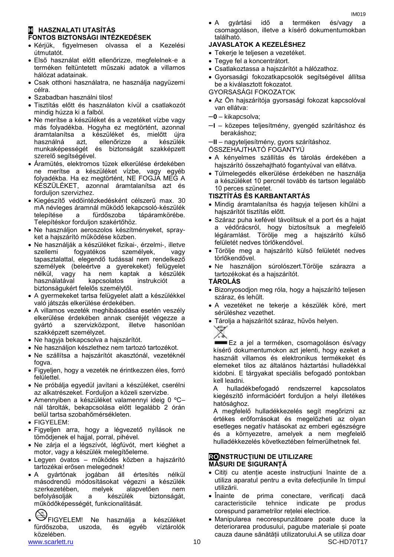### **H HASZNALATI UTASÍTÁS FONTOS BIZTONSÁGI INTÉZKEDÉSEK**

- Kérjük, figyelmesen olvassa el a Kezelési útmutatót.
- Első használat előtt ellenőrizze, megfelelnek-e a terméken feltüntetett műszaki adatok a villamos hálózat adatainak.
- Csak otthoni használatra, ne használja nagyüzemi célra.
- Szabadban használni tilos!
- Tisztítás előtt és használaton kívül a csatlakozót mindig húzza ki a falból.
- Ne merítse a készüléket és a vezetéket vízbe vagy más folyadékba. Hogyha ez megtörtént, azonnal áramtalanítsa a készüléket és, mielőtt újra használná azt, ellenőrizze a készülék munkaképességét és biztonságát szakképzett szerelő segítségével.
- Áramütés, elektromos tüzek elkerülése érdekében ne merítse a készüléket vízbe, vagy egyéb folyadékba. Ha ez megtörtént, NE FOGJA MEG A KÉSZÜLÉKET, azonnal áramtalanítsa azt és forduljon szervizhez.
- Kiegészítő védőintézkedésként célszerű max. 30 mA névleges áramnál működő lekapcsoló-készülék telepítése a fürdőszoba tápáramkörébe. Telepítéskor forduljon szakértőhöz.
- Ne használjon aeroszolos készítményeket, sprayket a hajszárító működése közben.
- Ne használják a készüléket fizikai-, érzelmi-, illetve szellemi fogyatékos személyek, vagy tapasztalattal, elegendő tudással nem rendelkező személyek (beleértve a gyerekeket) felügyelet nélkül, vagy ha nem kaptak a készülék használatával kapcsolatos instrukciót a biztonságukért felelős személytől.
- A gyermekeket tartsa felügyelet alatt a készülékkel való játszás elkerülése érdekében.
- A villamos vezeték meghibásodása esetén veszély elkerülése érdekében annak cseréjét végezze a gyártó a szervizközpont, illetve hasonlóan szakképzett személyzet.
- Ne hagyja bekapcsolva a hajszárítót.
- Ne használjon készlethez nem tartozó tartozékot.
- Ne szállítsa a hajszárítót akasztónál, vezetéknél fogva.
- Figyeljen, hogy a vezeték ne érintkezzen éles, forró felülettel.
- Ne próbálja egyedül javítani a készüléket, cserélni az alkatrészeket. Forduljon a közeli szervizbe.
- Amennyiben a készüléket valamennyi ideig 0 ºC– nál tárolták, bekapcsolása előtt legalább 2 órán belül tartsa szobahőmérsékleten.
- FIGYELEM:
- Figyeljen arra, hogy a légvezető nyílások ne tömődjenek el hajjal, porral, pihével.
- Ne zárja el a légszívót, légfúvót, mert kiéghet a motor, vagy a készülék melegítőeleme.
- Legyen óvatos működés közben a hajszárító tartozékai erősen melegednek!
- A gyártónak jogában áll értesítés nélkül másodrendű módosításokat végezni a készülék szerkezetében, melyek alapvetően nem befolyásolják a készülék biztonságát, működőképességét, funkcionalitását.
- www.scarlett.ru 10 SC-HD70T17 FIGYELEM! Ne használja a készüléket fürdőszoba, uszoda, és egyéb víztárolók közelében.
- 

 A gyártási idő a terméken és/vagy a csomagoláson, illetve a kísérő dokumentumokban található.

# **JAVASLATOK A KEZELÉSHEZ**

- Tekerje le teljesen a vezetéket.
- Tegye fel a koncentrátort.
- Csatlakoztassa a hajszárítót a hálózathoz.
- Gyorsasági fokozatkapcsolók segítségével állítsa be a kiválasztott fokozatot.
- GYORSASÁGI FOKOZATOK
- Az Ön hajszárítója gyorsasági fokozat kapcsolóval van ellátva:
- –**0** kikapcsolva;
- –**I** közepes teljesítmény, gyengéd szárításhoz és berakáshoz;

–**II** – nagyteljesítmény, gyors szárításhoz.

ÖSSZEHAJTHATÓ FOGANTYÚ

- A kényelmes szállítás és tárolás érdekében a hajszárító összehajtható fogantyúval van ellátva.
- Túlmelegedés elkerülése érdekében ne használja a készüléket 10 percnél tovább és tartson legalább 10 perces szünetet.

### **TISZTÍTÁS ÉS KARBANTARTÁS**

- Mindig áramtalanítsa és hagyja teljesen kihűlni a hajszárítót tisztítás előtt.
- Száraz puha kefével távolítsuk el a port és a hajat a védőrácsról, hogy biztosítsuk a megfelelő légáramlást. Törölje meg a hajszárító külső felületét nedves törlőkendővel.
- Törölje meg a hajszárító külső felületét nedves törlőkendővel.
- Ne használjon súrolószert.Törölje szárazra a tartozékokat és a hajszárítót.

### **TÁROLÁS**

- Bizonyosodjon meg róla, hogy a hajszárító teljesen száraz, és lehűlt.
- A vezetéket ne tekerje a készülék köré, mert sérüléshez vezethet.
- Tárolja a hajszárítót száraz, hűvös helyen.

Ez a jel a terméken, csomagoláson és/vagy kísérő dokumentumokon azt jelenti, hogy ezeket a használt villamos és elektronikus termékeket és elemeket tilos az általános háztartási hulladékkal kidobni. E tárgyakat speciális befogadó pontokban kell leadni.

A hulladékbefogadó rendszerrel kapcsolatos kiegészítő információért forduljon a helyi illetékes hatósághoz.

A megfelelő hulladékkezelés segít megőrizni az értékes erőforrásokat és megelőzheti az olyan esetleges negatív hatásokat az emberi egészségre és a környezetre, amelyek a nem megfelelő hulladékkezelés következtében felmerülhetnek fel.

### **ROINSTRUCŢIUNI DE UTILIZARE MĂSURI DE SIGURANȚĂ**

- Citiți cu atenție aceste instrucțiuni înainte de a utiliza aparatul pentru a evita defecțiunile în timpul utilizării.
- Înainte de prima conectare, verificați dacă caracteristicile tehnice indicate pe produs corespund parametrilor rețelei electrice.
- Manipularea necorespunzătoare poate duce la deteriorarea produsului, pagube materiale și poate cauza daune sănătății utilizatorului.A se utiliza doar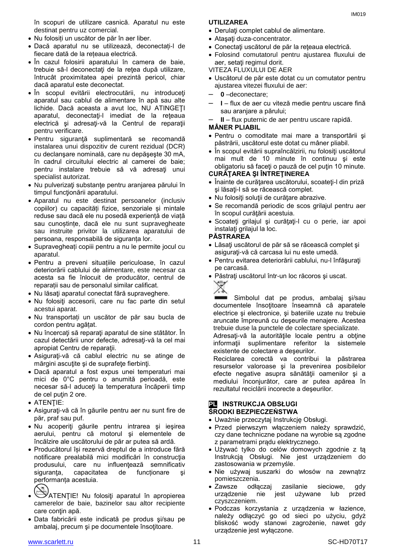în scopuri de utilizare casnică. Aparatul nu este destinat pentru uz comercial.

- Nu folosiți un uscător de păr în aer liber.
- Dacă aparatul nu se utilizează, deconectați-l de fiecare dată de la rețeaua electrică.
- În cazul folosirii aparatului în camera de baie, trebuie să-l deconectaţi de la reţea după utilizare, întrucât proximitatea apei prezintă pericol, chiar dacă aparatul este deconectat.
- În scopul evitării electrocutării, nu introduceţi aparatul sau cablul de alimentare în apă sau alte lichide. Dacă aceasta a avut loc, NU ATINGEŢI aparatul, deconectaţi-l imediat de la reţeaua electrică şi adresaţi-vă la Centrul de reparaţii pentru verificare.
- Pentru siguranţă suplimentară se recomandă instalarea unui dispozitiv de curent rezidual (DCR) cu declanşare nominală, care nu depăşeşte 30 mA, în cadrul circuitului electric al camerei de baie; pentru instalare trebuie să vă adresaţi unui specialist autorizat.
- Nu pulverizați substanțe pentru aranjarea părului în timpul funcționării aparatului.
- Aparatul nu este destinat persoanelor (inclusiv copiilor) cu capacități fizice, senzoriale și mintale reduse sau dacă ele nu posedă experiență de viață sau cunoștințe, dacă ele nu sunt supravegheate sau instruite privitor la utilizarea aparatului de persoana, responsabilă de siguranța lor.
- Supravegheați copiii pentru a nu le permite jocul cu aparatul.
- Pentru a preveni situațiile periculoase, în cazul deteriorării cablului de alimentare, este necesar ca acesta sa fie înlocuit de producător, centrul de reparații sau de personalul similar calificat.
- Nu lăsați aparatul conectat fără supraveghere.
- Nu folosiţi accesorii, care nu fac parte din setul acestui aparat.
- Nu transportați un uscător de păr sau bucla de cordon pentru agățat.
- Nu încercaţi să reparaţi aparatul de sine stătător. În cazul detectării unor defecte, adresaţi-vă la cel mai apropiat Centru de reparaţii.
- Asiguraţi-vă că cablul electric nu se atinge de mărgini ascuţite şi de suprafeţe fierbinţi.
- Dacă aparatul a fost expus unei temperaturi mai mici de 0°C pentru o anumită perioadă, este necesar să-l aduceţi la temperatura încăperii timp de cel puţin 2 ore.
- **ATENTIE:**
- Asiguraţi-vă că în găurile pentru aer nu sunt fire de păr, praf sau puf.
- Nu acoperiţi găurile pentru intrarea şi ieşirea aerului, pentru că motorul şi elementele de încălzire ale uscătorului de păr ar putea să ardă.
- Producătorul își rezervă dreptul de a introduce fără notificare prealabilă mici modificări în construcţia produsului, care nu influenţează semnificativ siguranța, capacitatea de funcționare și performanța acestuia.
- ATENȚIE! Nu folosiți aparatul în apropierea camerelor de baie, bazinelor sau altor recipiente care conțin apă.
- Data fabricării este indicată pe produs şi/sau pe ambalaj, precum şi pe documentele însoţitoare.

### **UTILIZAREA**

- Derulaţi complet cablul de alimentare.
- Ataşaţi duza-concentrator.
- Conectaţi uscătorul de păr la reţeaua electrică.
- Folosind comutatorul pentru ajustarea fluxului de aer, setati regimul dorit.
- VITEZA FLUXULUI DE AER
- Uscătorul de păr este dotat cu un comutator pentru ajustarea vitezei fluxului de aer:
- **0** –deconectare;
- **I** flux de aer cu viteză medie pentru uscare fină sau aranjare a părului;
- **II** flux puternic de aer pentru uscare rapidă.

### **MÂNER PLIABIL**

- Pentru o comoditate mai mare a transportării şi păstrării, uscătorul este dotat cu mâner pliabil.
- În scopul evitării supraîncălzirii, nu folosiţi uscătorul mai mult de 10 minute în continuu şi este obligatoriu să faceţi o pauză de cel puţin 10 minute.

### **CURĂŢAREA ŞI ÎNTREŢINEREA**

- Înainte de curăţarea uscătorului, scoateţi-l din priză şi lăsaţi-l să se răcească complet.
- Nu folosiţi soluţii de curăţare abrazive.
- Se recomandă periodic de scos grilajul pentru aer în scopul curăţării acestuia.
- Scoateţi grilajul şi curăţaţi-l cu o perie, iar apoi instalati grilajul la loc.

### **PĂSTRAREA**

- Lăsați uscătorul de păr să se răcească complet și asiguraţi-vă că carcasa lui nu este umedă.
- Pentru evitarea deteriorării cablului, nu-l înfăşuraţi pe carcasă.
- Păstraţi uscătorul într-un loc răcoros şi uscat. X

Simbolul dat pe produs, ambalaj şi/sau documentele însoţitoare înseamnă că aparatele electrice şi electronice, şi bateriile uzate nu trebuie aruncate împreună cu deşeurile menajere. Acestea trebuie duse la punctele de colectare specializate.

Adresați-vă la autoritățile locale pentru a obține informatii suplimentare referitor la sistemele existente de colectare a deşeurilor.

Reciclarea corectă va contribui la păstrarea resurselor valoroase şi la prevenirea posibilelor efecte negative asupra sănătății oamenilor și a mediului înconjurător, care ar putea apărea în rezultatul reciclării incorecte a deşeurilor.

### **PL INSTRUKCJA OBSŁUGI ŚRODKI BEZPIECZEŃSTWA**

- Uważnie przeczytaj Instrukcję Obsługi.
- Przed pierwszym włączeniem należy sprawdzić, czy dane techniczne podane na wyrobie są zgodne z parametrami prądu elektrycznego.
- Używać tylko do celów domowych zgodnie z tą Instrukcją Obsługi. Nie jest urządzeniem do zastosowania w przemyśle.
- Nie używaj suszarki do włosów na zewnątrz pomieszczenia.
- Zawsze odłączaj zasilanie sieciowe, gdy urządzenie nie jest używane lub przed czyszczeniem.
- Podczas korzystania z urządzenia w łazience, należy odłączyć go od sieci po użyciu, gdyż bliskość wody stanowi zagrożenie, nawet gdy urządzenie jest wyłączone.